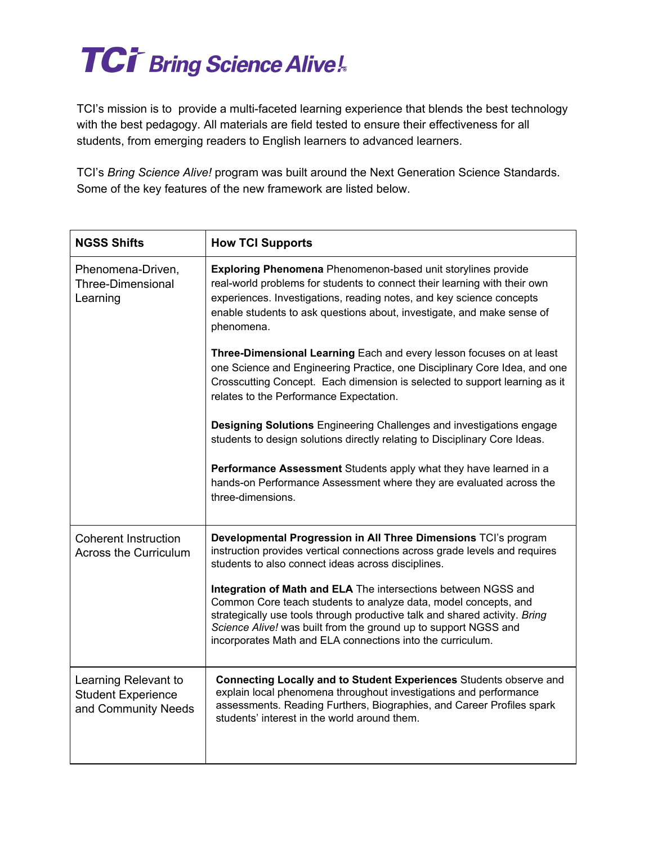## **TCi<sup>T</sup>** Bring Science Alive!

TCI's mission is to provide a multi-faceted learning experience that blends the best technology with the best pedagogy. All materials are field tested to ensure their effectiveness for all students, from emerging readers to English learners to advanced learners.

TCI's *Bring Science Alive!* program was built around the Next Generation Science Standards. Some of the key features of the new framework are listed below.

| <b>NGSS Shifts</b>                                                       | <b>How TCI Supports</b>                                                                                                                                                                                                                                                                                                                          |
|--------------------------------------------------------------------------|--------------------------------------------------------------------------------------------------------------------------------------------------------------------------------------------------------------------------------------------------------------------------------------------------------------------------------------------------|
| Phenomena-Driven,<br><b>Three-Dimensional</b><br>Learning                | Exploring Phenomena Phenomenon-based unit storylines provide<br>real-world problems for students to connect their learning with their own<br>experiences. Investigations, reading notes, and key science concepts<br>enable students to ask questions about, investigate, and make sense of<br>phenomena.                                        |
|                                                                          | Three-Dimensional Learning Each and every lesson focuses on at least<br>one Science and Engineering Practice, one Disciplinary Core Idea, and one<br>Crosscutting Concept. Each dimension is selected to support learning as it<br>relates to the Performance Expectation.                                                                       |
|                                                                          | Designing Solutions Engineering Challenges and investigations engage<br>students to design solutions directly relating to Disciplinary Core Ideas.                                                                                                                                                                                               |
|                                                                          | Performance Assessment Students apply what they have learned in a<br>hands-on Performance Assessment where they are evaluated across the<br>three-dimensions.                                                                                                                                                                                    |
| <b>Coherent Instruction</b><br><b>Across the Curriculum</b>              | Developmental Progression in All Three Dimensions TCI's program<br>instruction provides vertical connections across grade levels and requires<br>students to also connect ideas across disciplines.                                                                                                                                              |
|                                                                          | Integration of Math and ELA The intersections between NGSS and<br>Common Core teach students to analyze data, model concepts, and<br>strategically use tools through productive talk and shared activity. Bring<br>Science Alive! was built from the ground up to support NGSS and<br>incorporates Math and ELA connections into the curriculum. |
| Learning Relevant to<br><b>Student Experience</b><br>and Community Needs | Connecting Locally and to Student Experiences Students observe and<br>explain local phenomena throughout investigations and performance<br>assessments. Reading Furthers, Biographies, and Career Profiles spark<br>students' interest in the world around them.                                                                                 |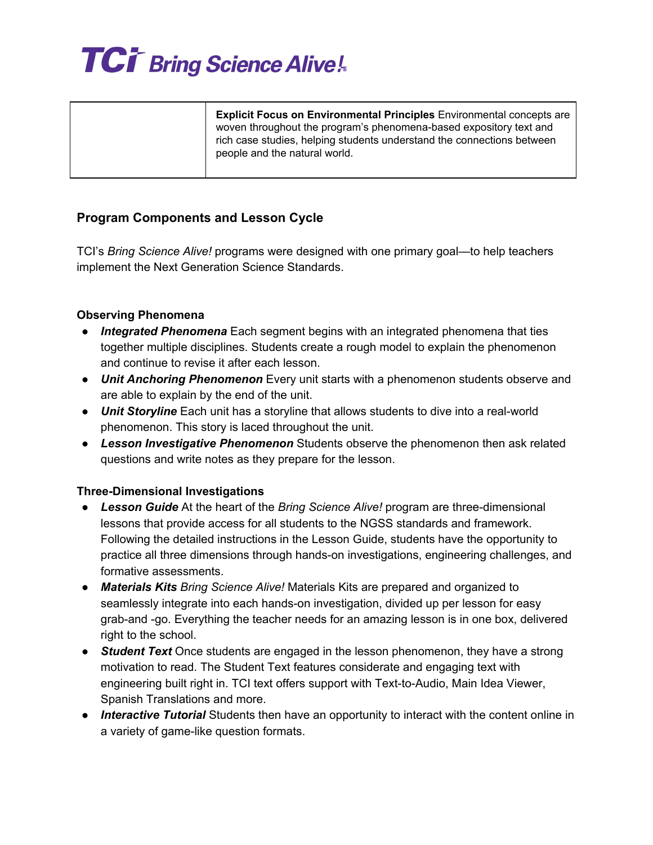

| <b>Explicit Focus on Environmental Principles</b> Environmental concepts are<br>woven throughout the program's phenomena-based expository text and<br>rich case studies, helping students understand the connections between<br>people and the natural world. |
|---------------------------------------------------------------------------------------------------------------------------------------------------------------------------------------------------------------------------------------------------------------|
|                                                                                                                                                                                                                                                               |

### **Program Components and Lesson Cycle**

TCI's *Bring Science Alive!* programs were designed with one primary goal—to help teachers implement the Next Generation Science Standards.

#### **Observing Phenomena**

- **●** *Integrated Phenomena* Each segment begins with an integrated phenomena that ties together multiple disciplines. Students create a rough model to explain the phenomenon and continue to revise it after each lesson.
- *Unit Anchoring Phenomenon* Every unit starts with a phenomenon students observe and are able to explain by the end of the unit.
- *Unit Storyline* Each unit has a storyline that allows students to dive into a real-world phenomenon. This story is laced throughout the unit.
- *Lesson Investigative Phenomenon* Students observe the phenomenon then ask related questions and write notes as they prepare for the lesson.

#### **Three-Dimensional Investigations**

- *Lesson Guide* At the heart of the *Bring Science Alive!* program are three-dimensional lessons that provide access for all students to the NGSS standards and framework. Following the detailed instructions in the Lesson Guide, students have the opportunity to practice all three dimensions through hands-on investigations, engineering challenges, and formative assessments.
- *● Materials Kits Bring Science Alive!* Materials Kits are prepared and organized to seamlessly integrate into each hands-on investigation, divided up per lesson for easy grab-and -go. Everything the teacher needs for an amazing lesson is in one box, delivered right to the school.
- *Student Text* Once students are engaged in the lesson phenomenon, they have a strong motivation to read. The Student Text features considerate and engaging text with engineering built right in. TCI text offers support with Text-to-Audio, Main Idea Viewer, Spanish Translations and more.
- *● Interactive Tutorial* Students then have an opportunity to interact with the content online in a variety of game-like question formats.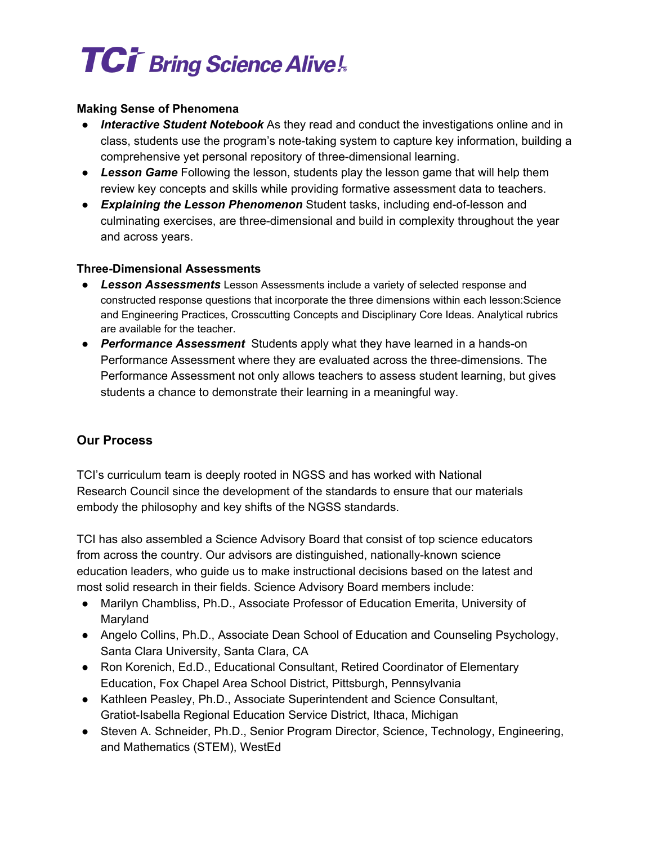# **TCi<sup>T</sup> Bring Science Alive!**

#### **Making Sense of Phenomena**

- *Interactive Student Notebook* As they read and conduct the investigations online and in class, students use the program's note-taking system to capture key information, building a comprehensive yet personal repository of three-dimensional learning.
- *Lesson Game* Following the lesson, students play the lesson game that will help them review key concepts and skills while providing formative assessment data to teachers.
- *Explaining the Lesson Phenomenon* Student tasks, including end-of-lesson and culminating exercises, are three-dimensional and build in complexity throughout the year and across years.

### **Three-Dimensional Assessments**

- *Lesson Assessments* Lesson Assessments include a variety of selected response and constructed response questions that incorporate the three dimensions within each lesson:Science and Engineering Practices, Crosscutting Concepts and Disciplinary Core Ideas. Analytical rubrics are available for the teacher.
- *Performance Assessment* Students apply what they have learned in a hands-on Performance Assessment where they are evaluated across the three-dimensions. The Performance Assessment not only allows teachers to assess student learning, but gives students a chance to demonstrate their learning in a meaningful way.

### **Our Process**

TCI's curriculum team is deeply rooted in NGSS and has worked with National Research Council since the development of the standards to ensure that our materials embody the philosophy and key shifts of the NGSS standards.

TCI has also assembled a Science Advisory Board that consist of top science educators from across the country. Our advisors are distinguished, nationally-known science education leaders, who guide us to make instructional decisions based on the latest and most solid research in their fields. Science Advisory Board members include:

- Marilyn Chambliss, Ph.D., Associate Professor of Education Emerita, University of Maryland
- Angelo Collins, Ph.D., Associate Dean School of Education and Counseling Psychology, Santa Clara University, Santa Clara, CA
- Ron Korenich, Ed.D., Educational Consultant, Retired Coordinator of Elementary Education, Fox Chapel Area School District, Pittsburgh, Pennsylvania
- Kathleen Peasley, Ph.D., Associate Superintendent and Science Consultant, Gratiot-Isabella Regional Education Service District, Ithaca, Michigan
- Steven A. Schneider, Ph.D., Senior Program Director, Science, Technology, Engineering, and Mathematics (STEM), WestEd